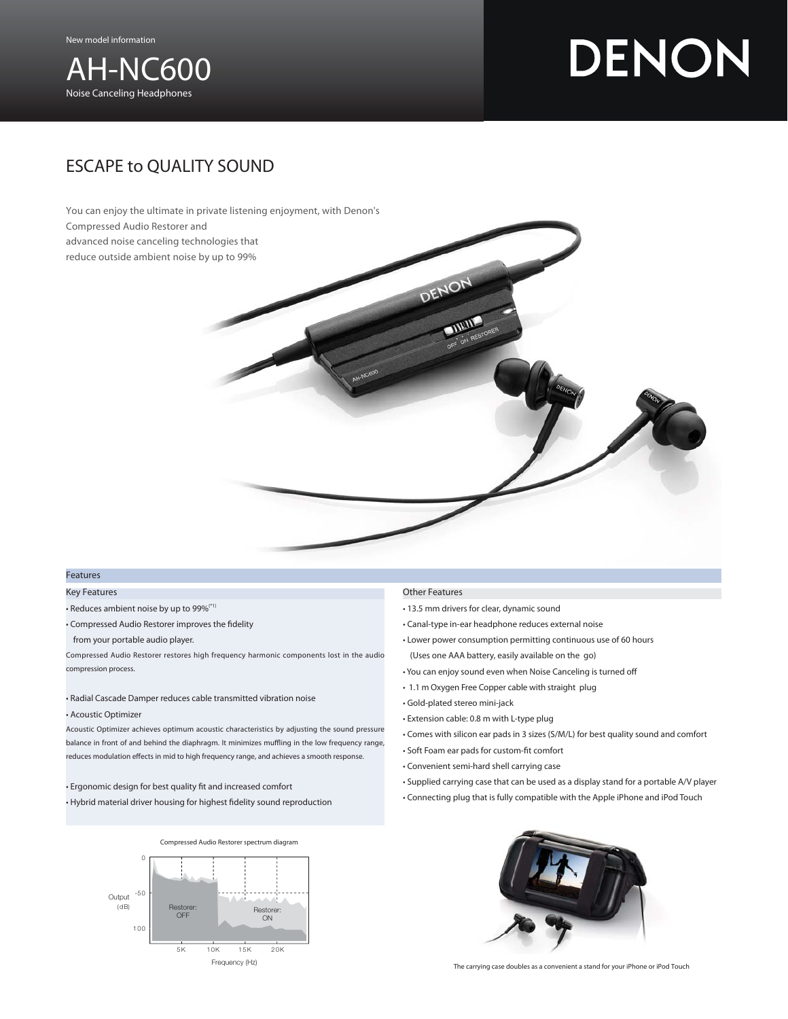

# DENON

## ESCAPE to QUALITY SOUND



### Features

#### Key Features

- Reduces ambient noise by up to 99%(\*1)
- Compressed Audio Restorer improves the fidelity
- from your portable audio player.

Compressed Audio Restorer restores high frequency harmonic components lost in the audio compression process.

#### • Radial Cascade Damper reduces cable transmitted vibration noise

• Acoustic Optimizer

Acoustic Optimizer achieves optimum acoustic characteristics by adjusting the sound pressure balance in front of and behind the diaphragm. It minimizes muffling in the low frequency range, reduces modulation effects in mid to high frequency range, and achieves a smooth response.

- Ergonomic design for best quality fit and increased comfort
- Hybrid material driver housing for highest fidelity sound reproduction



- Canal-type in-ear headphone reduces external noise
- Lower power consumption permitting continuous use of 60 hours (Uses one AAA battery, easily available on the go)
- You can enjoy sound even when Noise Canceling is turned off
- 1.1 m Oxygen Free Copper cable with straight plug
- Gold-plated stereo mini-jack
- Extension cable: 0.8 m with L-type plug
- Comes with silicon ear pads in 3 sizes (S/M/L) for best quality sound and comfort
- Soft Foam ear pads for custom-fit comfort
- Convenient semi-hard shell carrying case
- Supplied carrying case that can be used as a display stand for a portable A/V player
- Connecting plug that is fully compatible with the Apple iPhone and iPod Touch